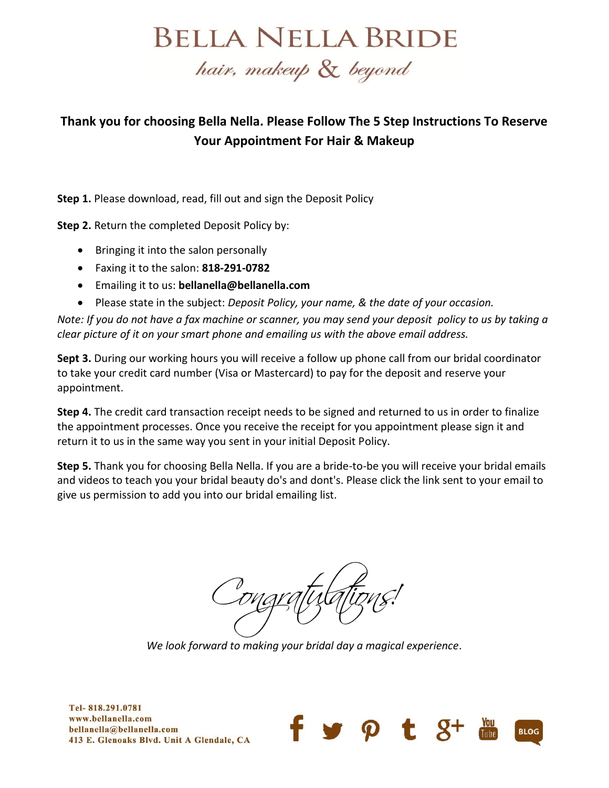## **BELLA NELLA BRIDE**

## hair, makeup & beyond

## **Thank you for choosing Bella Nella. Please Follow The 5 Step Instructions To Reserve Your Appointment For Hair & Makeup**

**Step 1.** Please download, read, fill out and sign the Deposit Policy

**Step 2.** Return the completed Deposit Policy by:

- Bringing it into the salon personally
- Faxing it to the salon: **818-291-0782**
- Emailing it to us: **bellanella@bellanella.com**
- Please state in the subject: *Deposit Policy, your name, & the date of your occasion.*

*Note: If you do not have a fax machine or scanner, you may send your deposit policy to us by taking a clear picture of it on your smart phone and emailing us with the above email address.* 

**Sept 3.** During our working hours you will receive a follow up phone call from our bridal coordinator to take your credit card number (Visa or Mastercard) to pay for the deposit and reserve your appointment.

**Step 4.** The credit card transaction receipt needs to be signed and returned to us in order to finalize the appointment processes. Once you receive the receipt for you appointment please sign it and return it to us in the same way you sent in your initial Deposit Policy.

**Step 5.** Thank you for choosing Bella Nella. If you are a bride-to-be you will receive your bridal emails and videos to teach you your bridal beauty do's and dont's. Please click the link sent to your email to give us permission to add you into our bridal emailing list.

*We look forward to making your bridal day a magical experience*.

Tel-818.291.0781 www.bellanella.com bellanella@bellanella.com 413 E. Glenoaks Blvd. Unit A Glendale, CA